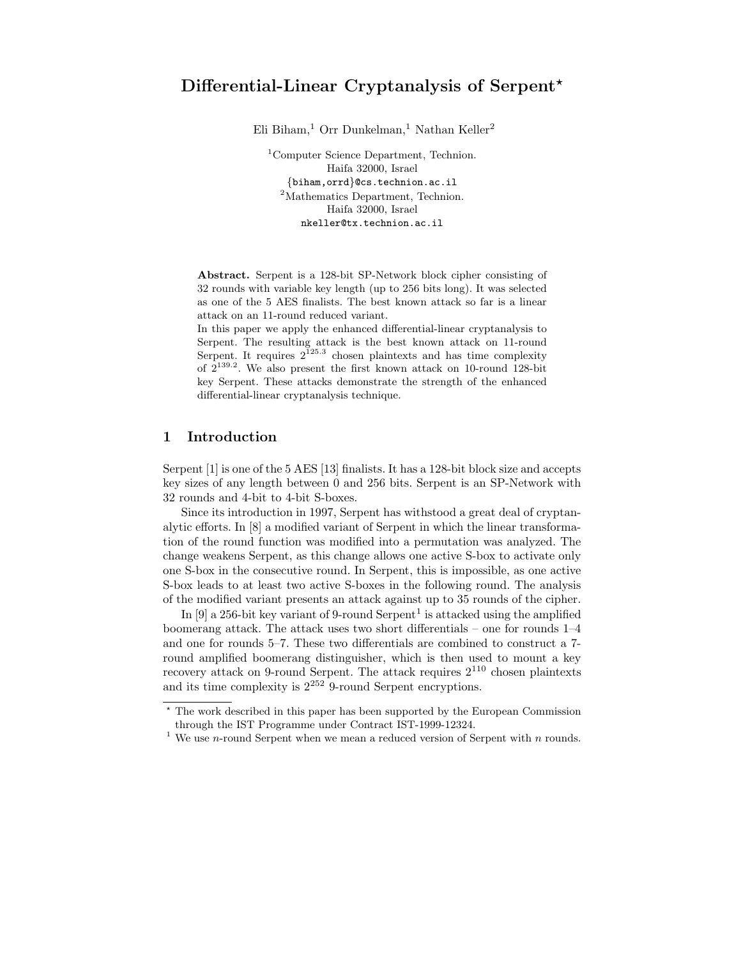Eli Biham,<sup>1</sup> Orr Dunkelman,<sup>1</sup> Nathan Keller<sup>2</sup>

<sup>1</sup>Computer Science Department, Technion. Haifa 32000, Israel {biham,orrd}@cs.technion.ac.il <sup>2</sup>Mathematics Department, Technion. Haifa 32000, Israel nkeller@tx.technion.ac.il

Abstract. Serpent is a 128-bit SP-Network block cipher consisting of 32 rounds with variable key length (up to 256 bits long). It was selected as one of the 5 AES finalists. The best known attack so far is a linear attack on an 11-round reduced variant.

In this paper we apply the enhanced differential-linear cryptanalysis to Serpent. The resulting attack is the best known attack on 11-round Serpent. It requires  $2^{125.3}$  chosen plaintexts and has time complexity of  $2^{139.2}$ . We also present the first known attack on 10-round 128-bit key Serpent. These attacks demonstrate the strength of the enhanced differential-linear cryptanalysis technique.

## 1 Introduction

Serpent [1] is one of the 5 AES [13] finalists. It has a 128-bit block size and accepts key sizes of any length between 0 and 256 bits. Serpent is an SP-Network with 32 rounds and 4-bit to 4-bit S-boxes.

Since its introduction in 1997, Serpent has withstood a great deal of cryptanalytic efforts. In [8] a modified variant of Serpent in which the linear transformation of the round function was modified into a permutation was analyzed. The change weakens Serpent, as this change allows one active S-box to activate only one S-box in the consecutive round. In Serpent, this is impossible, as one active S-box leads to at least two active S-boxes in the following round. The analysis of the modified variant presents an attack against up to 35 rounds of the cipher.

In [9] a 256-bit key variant of 9-round Serpent<sup>1</sup> is attacked using the amplified boomerang attack. The attack uses two short differentials – one for rounds 1–4 and one for rounds 5–7. These two differentials are combined to construct a 7 round amplified boomerang distinguisher, which is then used to mount a key recovery attack on 9-round Serpent. The attack requires  $2^{110}$  chosen plaintexts and its time complexity is  $2^{252}$  9-round Serpent encryptions.

<sup>?</sup> The work described in this paper has been supported by the European Commission through the IST Programme under Contract IST-1999-12324.

<sup>&</sup>lt;sup>1</sup> We use *n*-round Serpent when we mean a reduced version of Serpent with  $n$  rounds.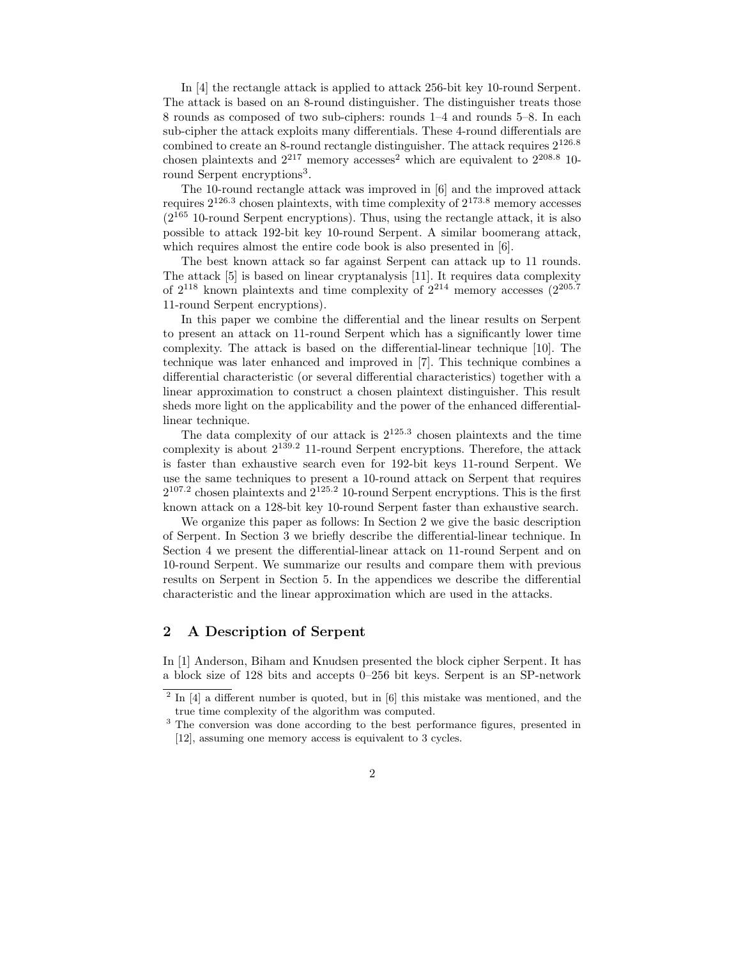In [4] the rectangle attack is applied to attack 256-bit key 10-round Serpent. The attack is based on an 8-round distinguisher. The distinguisher treats those 8 rounds as composed of two sub-ciphers: rounds 1–4 and rounds 5–8. In each sub-cipher the attack exploits many differentials. These 4-round differentials are combined to create an 8-round rectangle distinguisher. The attack requires  $2^{126.8}$ chosen plaintexts and  $2^{217}$  memory accesses<sup>2</sup> which are equivalent to  $2^{208.8}$  10round Serpent encryptions<sup>3</sup>.

The 10-round rectangle attack was improved in [6] and the improved attack requires  $2^{126.3}$  chosen plaintexts, with time complexity of  $2^{173.8}$  memory accesses  $(2^{165}$  10-round Serpent encryptions). Thus, using the rectangle attack, it is also possible to attack 192-bit key 10-round Serpent. A similar boomerang attack, which requires almost the entire code book is also presented in [6].

The best known attack so far against Serpent can attack up to 11 rounds. The attack [5] is based on linear cryptanalysis [11]. It requires data complexity of  $2^{118}$  known plaintexts and time complexity of  $2^{214}$  memory accesses  $(2^{205.7})$ 11-round Serpent encryptions).

In this paper we combine the differential and the linear results on Serpent to present an attack on 11-round Serpent which has a significantly lower time complexity. The attack is based on the differential-linear technique [10]. The technique was later enhanced and improved in [7]. This technique combines a differential characteristic (or several differential characteristics) together with a linear approximation to construct a chosen plaintext distinguisher. This result sheds more light on the applicability and the power of the enhanced differentiallinear technique.

The data complexity of our attack is  $2^{125.3}$  chosen plaintexts and the time complexity is about 2 <sup>139</sup>.<sup>2</sup> 11-round Serpent encryptions. Therefore, the attack is faster than exhaustive search even for 192-bit keys 11-round Serpent. We use the same techniques to present a 10-round attack on Serpent that requires  $2^{107.2}$  chosen plaintexts and  $2^{125.2}$  10-round Serpent encryptions. This is the first known attack on a 128-bit key 10-round Serpent faster than exhaustive search.

We organize this paper as follows: In Section 2 we give the basic description of Serpent. In Section 3 we briefly describe the differential-linear technique. In Section 4 we present the differential-linear attack on 11-round Serpent and on 10-round Serpent. We summarize our results and compare them with previous results on Serpent in Section 5. In the appendices we describe the differential characteristic and the linear approximation which are used in the attacks.

### 2 A Description of Serpent

In [1] Anderson, Biham and Knudsen presented the block cipher Serpent. It has a block size of 128 bits and accepts 0–256 bit keys. Serpent is an SP-network

<sup>&</sup>lt;sup>2</sup> In [4] a different number is quoted, but in [6] this mistake was mentioned, and the true time complexity of the algorithm was computed.

<sup>&</sup>lt;sup>3</sup> The conversion was done according to the best performance figures, presented in [12], assuming one memory access is equivalent to 3 cycles.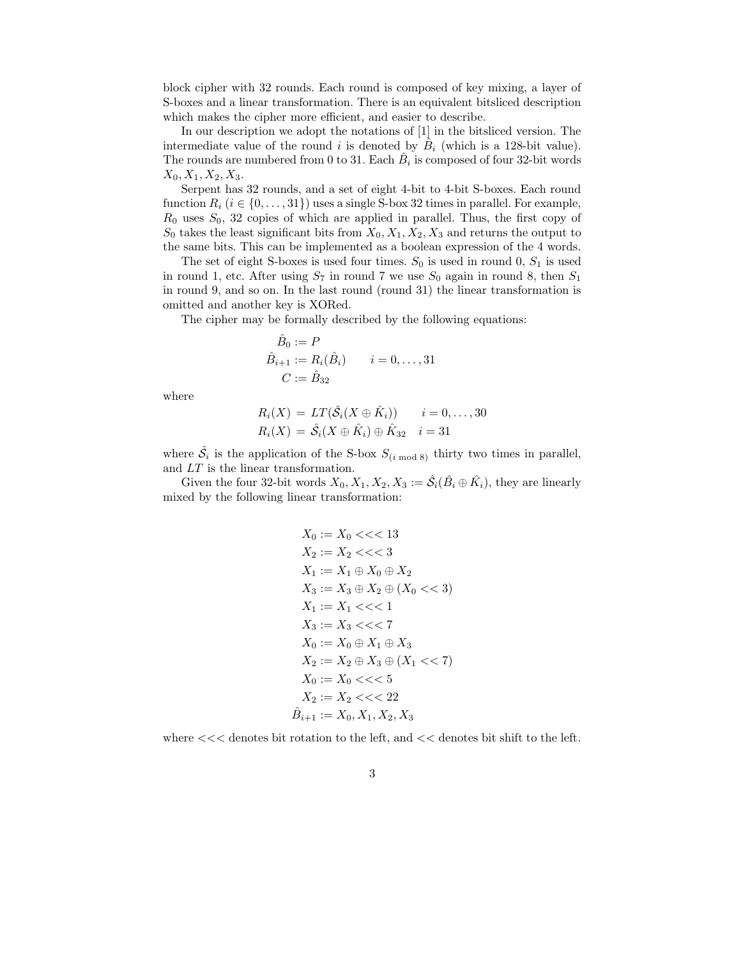block cipher with 32 rounds. Each round is composed of key mixing, a layer of S-boxes and a linear transformation. There is an equivalent bitsliced description which makes the cipher more efficient, and easier to describe.

In our description we adopt the notations of [1] in the bitsliced version. The intermediate value of the round i is denoted by  $\hat{B}_i$  (which is a 128-bit value). The rounds are numbered from 0 to 31. Each  $\hat{B}_i$  is composed of four 32-bit words  $X_0, X_1, X_2, X_3.$ 

Serpent has 32 rounds, and a set of eight 4-bit to 4-bit S-boxes. Each round function  $R_i$  ( $i \in \{0, \ldots, 31\}$ ) uses a single S-box 32 times in parallel. For example,  $R_0$  uses  $S_0$ , 32 copies of which are applied in parallel. Thus, the first copy of  $S_0$  takes the least significant bits from  $X_0, X_1, X_2, X_3$  and returns the output to the same bits. This can be implemented as a boolean expression of the 4 words.

The set of eight S-boxes is used four times.  $S_0$  is used in round 0,  $S_1$  is used in round 1, etc. After using  $S_7$  in round 7 we use  $S_0$  again in round 8, then  $S_1$ in round 9, and so on. In the last round (round 31) the linear transformation is omitted and another key is XORed.

The cipher may be formally described by the following equations:

$$
\hat{B}_0 := P \n\hat{B}_{i+1} := R_i(\hat{B}_i) \qquad i = 0, ..., 31 \nC := \hat{B}_{32}
$$

where

$$
R_i(X) = LT(\hat{S}_i(X \oplus \hat{K}_i)) \qquad i = 0, ..., 30
$$
  

$$
R_i(X) = \hat{S}_i(X \oplus \hat{K}_i) \oplus \hat{K}_{32} \qquad i = 31
$$

where  $\hat{\mathcal{S}}_i$  is the application of the S-box  $S_{(i \mod 8)}$  thirty two times in parallel, and LT is the linear transformation.

Given the four 32-bit words  $X_0, X_1, X_2, X_3 := \hat{\mathcal{S}}_i(\hat{B}_i \oplus \hat{K}_i)$ , they are linearly mixed by the following linear transformation:

$$
X_0 := X_0 \ll \ll 13
$$
  
\n
$$
X_2 := X_2 \ll \ll 3
$$
  
\n
$$
X_1 := X_1 \oplus X_0 \oplus X_2
$$
  
\n
$$
X_3 := X_3 \oplus X_2 \oplus (X_0 \ll \ll 3)
$$
  
\n
$$
X_1 := X_1 \ll \ll 1
$$
  
\n
$$
X_3 := X_3 \ll \ll 7
$$
  
\n
$$
X_0 := X_0 \oplus X_1 \oplus X_3
$$
  
\n
$$
X_2 := X_2 \oplus X_3 \oplus (X_1 \ll \ll 7)
$$
  
\n
$$
X_0 := X_0 \ll \ll 5
$$
  
\n
$$
X_2 := X_2 \ll \ll 22
$$
  
\n
$$
\hat{B}_{i+1} := X_0, X_1, X_2, X_3
$$

where  $<<$  denotes bit rotation to the left, and  $<<$  denotes bit shift to the left.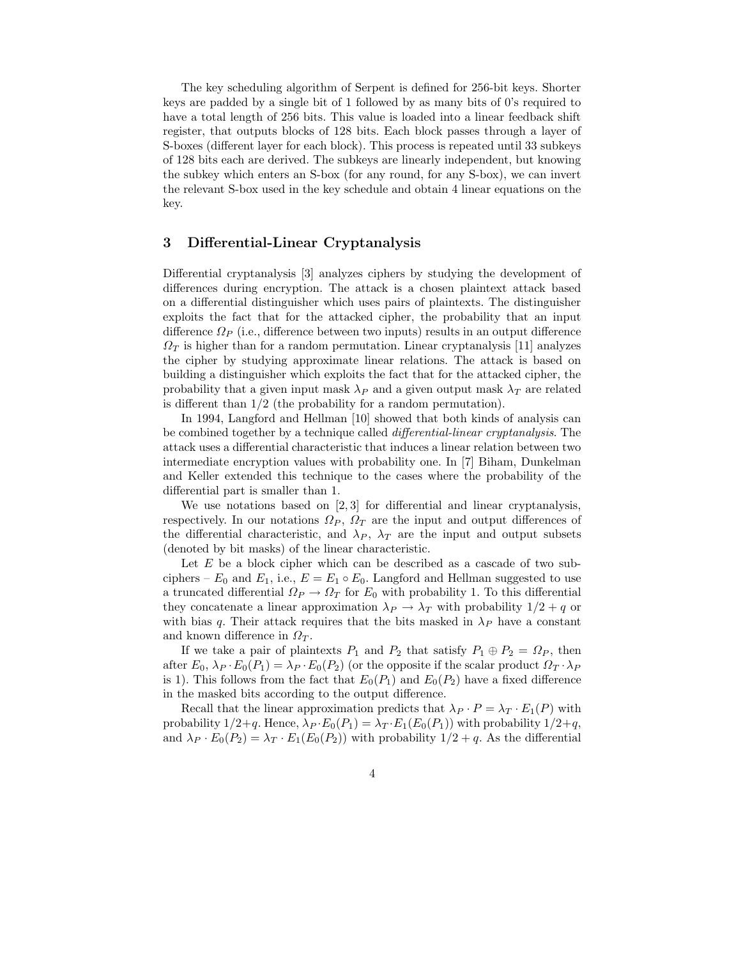The key scheduling algorithm of Serpent is defined for 256-bit keys. Shorter keys are padded by a single bit of 1 followed by as many bits of 0's required to have a total length of 256 bits. This value is loaded into a linear feedback shift register, that outputs blocks of 128 bits. Each block passes through a layer of S-boxes (different layer for each block). This process is repeated until 33 subkeys of 128 bits each are derived. The subkeys are linearly independent, but knowing the subkey which enters an S-box (for any round, for any S-box), we can invert the relevant S-box used in the key schedule and obtain 4 linear equations on the key.

### 3 Differential-Linear Cryptanalysis

Differential cryptanalysis [3] analyzes ciphers by studying the development of differences during encryption. The attack is a chosen plaintext attack based on a differential distinguisher which uses pairs of plaintexts. The distinguisher exploits the fact that for the attacked cipher, the probability that an input difference  $\Omega_P$  (i.e., difference between two inputs) results in an output difference  $\Omega_T$  is higher than for a random permutation. Linear cryptanalysis [11] analyzes the cipher by studying approximate linear relations. The attack is based on building a distinguisher which exploits the fact that for the attacked cipher, the probability that a given input mask  $\lambda_P$  and a given output mask  $\lambda_T$  are related is different than 1/2 (the probability for a random permutation).

In 1994, Langford and Hellman [10] showed that both kinds of analysis can be combined together by a technique called differential-linear cryptanalysis. The attack uses a differential characteristic that induces a linear relation between two intermediate encryption values with probability one. In [7] Biham, Dunkelman and Keller extended this technique to the cases where the probability of the differential part is smaller than 1.

We use notations based on [2, 3] for differential and linear cryptanalysis, respectively. In our notations  $\Omega_P$ ,  $\Omega_T$  are the input and output differences of the differential characteristic, and  $\lambda_P$ ,  $\lambda_T$  are the input and output subsets (denoted by bit masks) of the linear characteristic.

Let  $E$  be a block cipher which can be described as a cascade of two subciphers –  $E_0$  and  $E_1$ , i.e.,  $E = E_1 \circ E_0$ . Langford and Hellman suggested to use a truncated differential  $\Omega_P \to \Omega_T$  for  $E_0$  with probability 1. To this differential they concatenate a linear approximation  $\lambda_P \rightarrow \lambda_T$  with probability  $1/2 + q$  or with bias q. Their attack requires that the bits masked in  $\lambda_P$  have a constant and known difference in  $\Omega_T$ .

If we take a pair of plaintexts  $P_1$  and  $P_2$  that satisfy  $P_1 \oplus P_2 = \Omega_P$ , then after  $E_0$ ,  $\lambda_P \cdot E_0(P_1) = \lambda_P \cdot E_0(P_2)$  (or the opposite if the scalar product  $\Omega_T \cdot \lambda_P$ is 1). This follows from the fact that  $E_0(P_1)$  and  $E_0(P_2)$  have a fixed difference in the masked bits according to the output difference.

Recall that the linear approximation predicts that  $\lambda_P \cdot P = \lambda_T \cdot E_1(P)$  with probability  $1/2+q$ . Hence,  $\lambda_P \cdot E_0(P_1) = \lambda_T \cdot E_1(E_0(P_1))$  with probability  $1/2+q$ , and  $\lambda_P \cdot E_0(P_2) = \lambda_T \cdot E_1(E_0(P_2))$  with probability  $1/2 + q$ . As the differential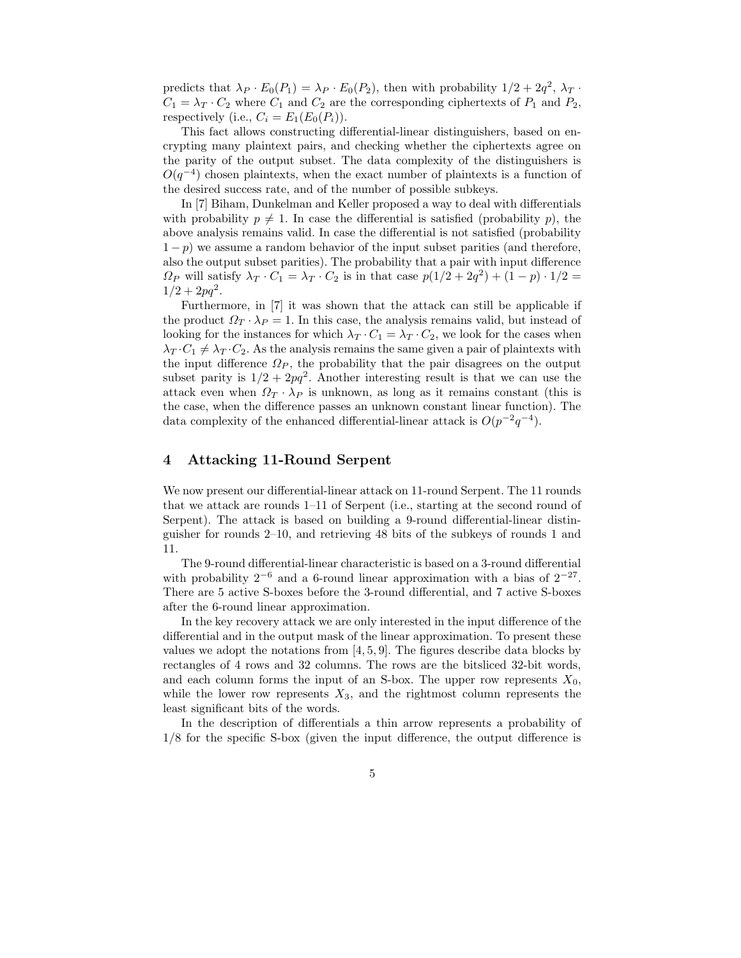predicts that  $\lambda_P \cdot E_0(P_1) = \lambda_P \cdot E_0(P_2)$ , then with probability  $1/2 + 2q^2$ ,  $\lambda_T \cdot E_0(P_1) = \lambda_P \cdot E_0(P_2)$ , then with probability  $1/2 + 2q^2$ ,  $\lambda_T \cdot E_0(P_1) = \lambda_P \cdot E_0(P_2)$ .  $C_1 = \lambda_T \cdot C_2$  where  $C_1$  and  $C_2$  are the corresponding ciphertexts of  $P_1$  and  $P_2$ , respectively (i.e.,  $C_i = E_1(E_0(P_i)).$ 

This fact allows constructing differential-linear distinguishers, based on encrypting many plaintext pairs, and checking whether the ciphertexts agree on the parity of the output subset. The data complexity of the distinguishers is  $O(q^{-4})$  chosen plaintexts, when the exact number of plaintexts is a function of the desired success rate, and of the number of possible subkeys.

In [7] Biham, Dunkelman and Keller proposed a way to deal with differentials with probability  $p \neq 1$ . In case the differential is satisfied (probability p), the above analysis remains valid. In case the differential is not satisfied (probability  $1-p$ ) we assume a random behavior of the input subset parities (and therefore, also the output subset parities). The probability that a pair with input difference  $\Omega_P$  will satisfy  $\lambda_T \cdot C_1 = \lambda_T \cdot C_2$  is in that case  $p(1/2 + 2q^2) + (1-p) \cdot 1/2 =$  $1/2 + 2pq^2$ .

Furthermore, in [7] it was shown that the attack can still be applicable if the product  $\Omega_T \cdot \lambda_P = 1$ . In this case, the analysis remains valid, but instead of looking for the instances for which  $\lambda_T \cdot C_1 = \lambda_T \cdot C_2$ , we look for the cases when  $\lambda_T \cdot C_1 \neq \lambda_T \cdot C_2$ . As the analysis remains the same given a pair of plaintexts with the input difference  $\Omega_P$ , the probability that the pair disagrees on the output subset parity is  $1/2 + 2pq^2$ . Another interesting result is that we can use the attack even when  $\Omega_T \cdot \lambda_P$  is unknown, as long as it remains constant (this is the case, when the difference passes an unknown constant linear function). The data complexity of the enhanced differential-linear attack is  $O(p^{-2}q^{-4})$ .

#### 4 Attacking 11-Round Serpent

We now present our differential-linear attack on 11-round Serpent. The 11 rounds that we attack are rounds 1–11 of Serpent (i.e., starting at the second round of Serpent). The attack is based on building a 9-round differential-linear distinguisher for rounds 2–10, and retrieving 48 bits of the subkeys of rounds 1 and 11.

The 9-round differential-linear characteristic is based on a 3-round differential with probability  $2^{-6}$  and a 6-round linear approximation with a bias of  $2^{-27}$ . There are 5 active S-boxes before the 3-round differential, and 7 active S-boxes after the 6-round linear approximation.

In the key recovery attack we are only interested in the input difference of the differential and in the output mask of the linear approximation. To present these values we adopt the notations from  $[4, 5, 9]$ . The figures describe data blocks by rectangles of 4 rows and 32 columns. The rows are the bitsliced 32-bit words, and each column forms the input of an S-box. The upper row represents  $X_0$ , while the lower row represents  $X_3$ , and the rightmost column represents the least significant bits of the words.

In the description of differentials a thin arrow represents a probability of 1/8 for the specific S-box (given the input difference, the output difference is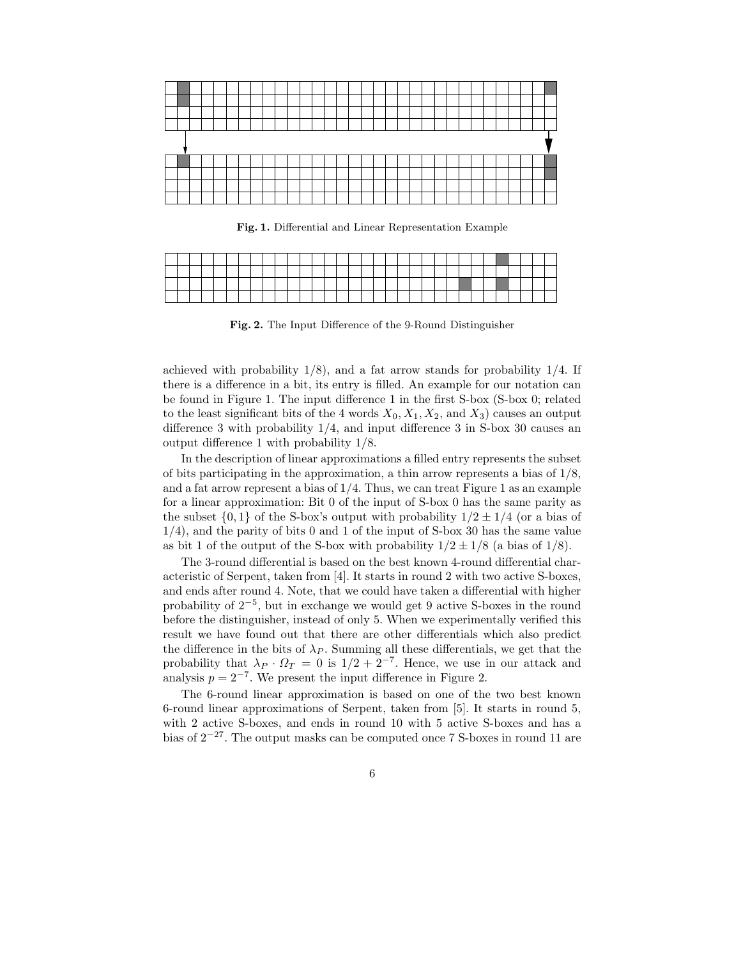

Fig. 1. Differential and Linear Representation Example

|  |  |  |  |  |  |  |  |  |  |  |  |  |  |  | -- |
|--|--|--|--|--|--|--|--|--|--|--|--|--|--|--|----|
|  |  |  |  |  |  |  |  |  |  |  |  |  |  |  |    |
|  |  |  |  |  |  |  |  |  |  |  |  |  |  |  |    |
|  |  |  |  |  |  |  |  |  |  |  |  |  |  |  |    |

Fig. 2. The Input Difference of the 9-Round Distinguisher

achieved with probability  $1/8$ , and a fat arrow stands for probability  $1/4$ . If there is a difference in a bit, its entry is filled. An example for our notation can be found in Figure 1. The input difference 1 in the first S-box (S-box 0; related to the least significant bits of the 4 words  $X_0, X_1, X_2$ , and  $X_3$ ) causes an output difference 3 with probability 1/4, and input difference 3 in S-box 30 causes an output difference 1 with probability 1/8.

In the description of linear approximations a filled entry represents the subset of bits participating in the approximation, a thin arrow represents a bias of  $1/8$ , and a fat arrow represent a bias of  $1/4$ . Thus, we can treat Figure 1 as an example for a linear approximation: Bit 0 of the input of S-box 0 has the same parity as the subset  $\{0, 1\}$  of the S-box's output with probability  $1/2 \pm 1/4$  (or a bias of 1/4), and the parity of bits 0 and 1 of the input of S-box 30 has the same value as bit 1 of the output of the S-box with probability  $1/2 \pm 1/8$  (a bias of  $1/8$ ).

The 3-round differential is based on the best known 4-round differential characteristic of Serpent, taken from [4]. It starts in round 2 with two active S-boxes, and ends after round 4. Note, that we could have taken a differential with higher probability of  $2^{-5}$ , but in exchange we would get 9 active S-boxes in the round before the distinguisher, instead of only 5. When we experimentally verified this result we have found out that there are other differentials which also predict the difference in the bits of  $\lambda_P$ . Summing all these differentials, we get that the probability that  $\lambda_P \cdot \Omega_T = 0$  is  $1/2 + 2^{-7}$ . Hence, we use in our attack and analysis  $p = 2^{-7}$ . We present the input difference in Figure 2.

The 6-round linear approximation is based on one of the two best known 6-round linear approximations of Serpent, taken from [5]. It starts in round 5, with 2 active S-boxes, and ends in round 10 with 5 active S-boxes and has a bias of  $2^{-27}$ . The output masks can be computed once 7 S-boxes in round 11 are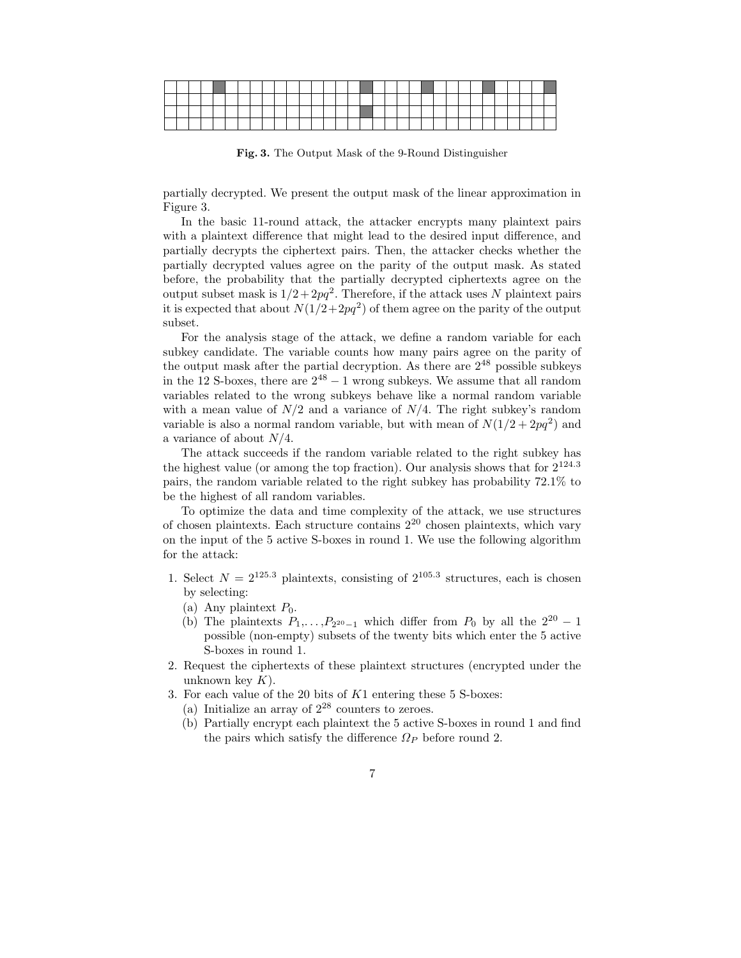Fig. 3. The Output Mask of the 9-Round Distinguisher

partially decrypted. We present the output mask of the linear approximation in Figure 3.

In the basic 11-round attack, the attacker encrypts many plaintext pairs with a plaintext difference that might lead to the desired input difference, and partially decrypts the ciphertext pairs. Then, the attacker checks whether the partially decrypted values agree on the parity of the output mask. As stated before, the probability that the partially decrypted ciphertexts agree on the output subset mask is  $1/2 + 2pq^2$ . Therefore, if the attack uses N plaintext pairs it is expected that about  $N(1/2+2pq^2)$  of them agree on the parity of the output subset.

For the analysis stage of the attack, we define a random variable for each subkey candidate. The variable counts how many pairs agree on the parity of the output mask after the partial decryption. As there are  $2^{48}$  possible subkeys in the 12 S-boxes, there are  $2^{48} - 1$  wrong subkeys. We assume that all random variables related to the wrong subkeys behave like a normal random variable with a mean value of  $N/2$  and a variance of  $N/4$ . The right subkey's random variable is also a normal random variable, but with mean of  $N(1/2 + 2pq^2)$  and a variance of about  $N/4$ .

The attack succeeds if the random variable related to the right subkey has the highest value (or among the top fraction). Our analysis shows that for  $2^{124.3}$ pairs, the random variable related to the right subkey has probability 72.1% to be the highest of all random variables.

To optimize the data and time complexity of the attack, we use structures of chosen plaintexts. Each structure contains 2 <sup>20</sup> chosen plaintexts, which vary on the input of the 5 active S-boxes in round 1. We use the following algorithm for the attack:

- 1. Select  $N = 2^{125.3}$  plaintexts, consisting of  $2^{105.3}$  structures, each is chosen by selecting:
	- (a) Any plaintext  $P_0$ .
	- (b) The plaintexts  $P_1, \ldots, P_{2^{20}-1}$  which differ from  $P_0$  by all the  $2^{20} 1$ possible (non-empty) subsets of the twenty bits which enter the 5 active S-boxes in round 1.
- 2. Request the ciphertexts of these plaintext structures (encrypted under the unknown key  $K$ ).
- 3. For each value of the 20 bits of  $K1$  entering these 5 S-boxes:
	- (a) Initialize an array of  $2^{28}$  counters to zeroes.
	- (b) Partially encrypt each plaintext the 5 active S-boxes in round 1 and find the pairs which satisfy the difference  $\Omega_P$  before round 2.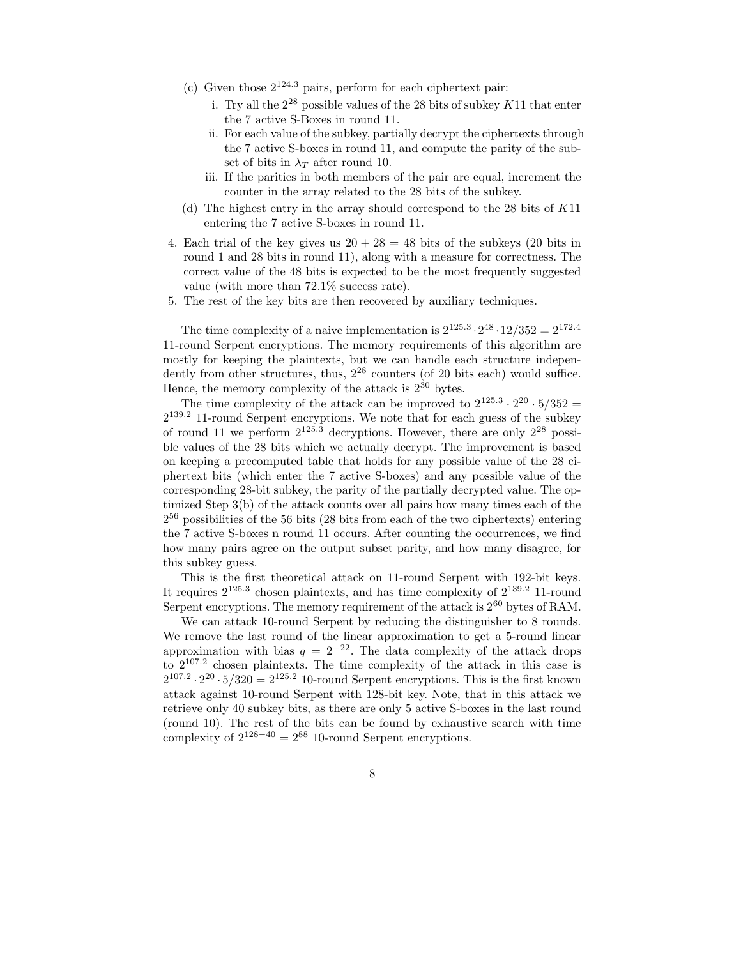- (c) Given those 2 <sup>124</sup>.<sup>3</sup> pairs, perform for each ciphertext pair:
	- i. Try all the  $2^{28}$  possible values of the 28 bits of subkey  $K11$  that enter the 7 active S-Boxes in round 11.
	- ii. For each value of the subkey, partially decrypt the ciphertexts through the 7 active S-boxes in round 11, and compute the parity of the subset of bits in  $\lambda_T$  after round 10.
	- iii. If the parities in both members of the pair are equal, increment the counter in the array related to the 28 bits of the subkey.
- (d) The highest entry in the array should correspond to the 28 bits of K11 entering the 7 active S-boxes in round 11.
- 4. Each trial of the key gives us  $20 + 28 = 48$  bits of the subkeys (20 bits in round 1 and 28 bits in round 11), along with a measure for correctness. The correct value of the 48 bits is expected to be the most frequently suggested value (with more than 72.1% success rate).
- 5. The rest of the key bits are then recovered by auxiliary techniques.

The time complexity of a naive implementation is  $2^{125.3} \cdot 2^{48} \cdot 12/352 = 2^{172.4}$ 11-round Serpent encryptions. The memory requirements of this algorithm are mostly for keeping the plaintexts, but we can handle each structure independently from other structures, thus,  $2^{28}$  counters (of 20 bits each) would suffice. Hence, the memory complexity of the attack is  $2^{30}$  bytes.

The time complexity of the attack can be improved to  $2^{125.3} \cdot 2^{20} \cdot 5/352 =$ 2 <sup>139</sup>.<sup>2</sup> 11-round Serpent encryptions. We note that for each guess of the subkey of round 11 we perform  $2^{125.3}$  decryptions. However, there are only  $2^{28}$  possible values of the 28 bits which we actually decrypt. The improvement is based on keeping a precomputed table that holds for any possible value of the 28 ciphertext bits (which enter the 7 active S-boxes) and any possible value of the corresponding 28-bit subkey, the parity of the partially decrypted value. The optimized Step 3(b) of the attack counts over all pairs how many times each of the 2 <sup>56</sup> possibilities of the 56 bits (28 bits from each of the two ciphertexts) entering the 7 active S-boxes n round 11 occurs. After counting the occurrences, we find how many pairs agree on the output subset parity, and how many disagree, for this subkey guess.

This is the first theoretical attack on 11-round Serpent with 192-bit keys. It requires  $2^{125.3}$  chosen plaintexts, and has time complexity of  $2^{139.2}$  11-round Serpent encryptions. The memory requirement of the attack is  $2^{60}$  bytes of RAM.

We can attack 10-round Serpent by reducing the distinguisher to 8 rounds. We remove the last round of the linear approximation to get a 5-round linear approximation with bias  $q = 2^{-22}$ . The data complexity of the attack drops to 2 107.2 chosen plaintexts. The time complexity of the attack in this case is  $2^{107.2} \cdot 2^{20} \cdot 5/320 = 2^{125.2}$  10-round Serpent encryptions. This is the first known attack against 10-round Serpent with 128-bit key. Note, that in this attack we retrieve only 40 subkey bits, as there are only 5 active S-boxes in the last round (round 10). The rest of the bits can be found by exhaustive search with time complexity of  $2^{128-40} = 2^{88}$  10-round Serpent encryptions.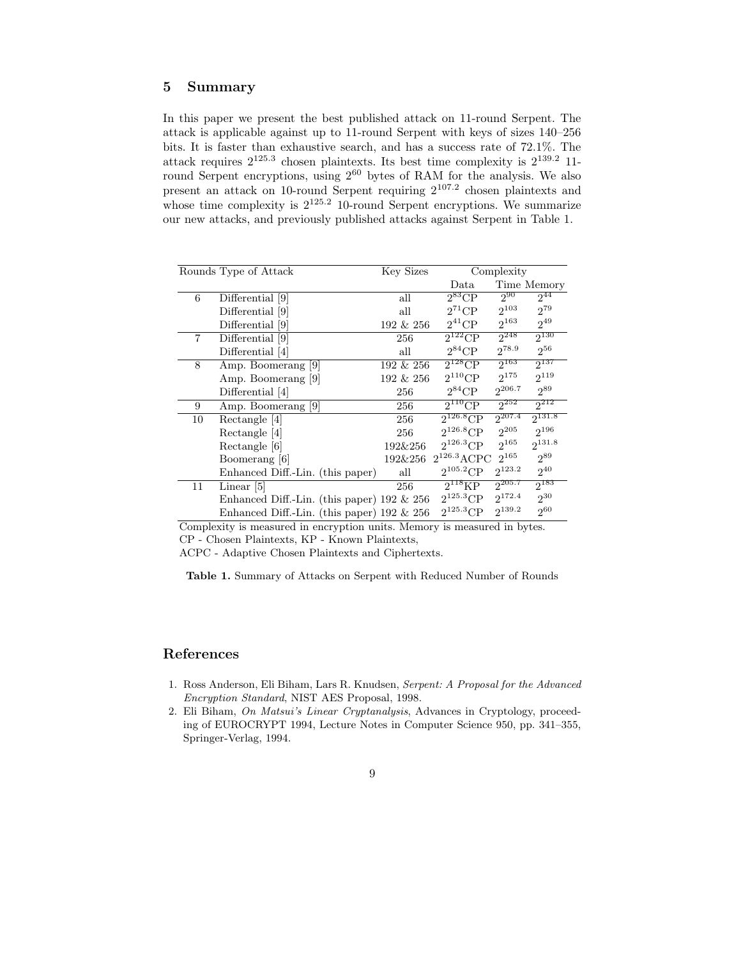## Summary

In this paper we present the best published attack on 11-round Serpent. The attack is applicable against up to 11-round Serpent with keys of sizes 140–256 bits. It is faster than exhaustive search, and has a success rate of 72.1%. The attack requires  $2^{125.3}$  chosen plaintexts. Its best time complexity is  $2^{139.2}$  11round Serpent encryptions, using  $2^{60}$  bytes of RAM for the analysis. We also present an attack on 10-round Serpent requiring 2 107.2 chosen plaintexts and whose time complexity is  $2^{125.2}$  10-round Serpent encryptions. We summarize our new attacks, and previously published attacks against Serpent in Table 1.

|                | Rounds Type of Attack                         | Key Sizes    |                  | Complexity  |             |
|----------------|-----------------------------------------------|--------------|------------------|-------------|-------------|
|                |                                               |              | Data             |             | Time Memory |
| 6              | Differential [9]                              | all          | $2^{83}CP$       | $2_{20}$    | $2^{44}$    |
|                | Differential [9]                              | all          | $2^{71}$ CP      | $2^{103}$   | $2^{79}$    |
|                | Differential [9]                              | $192 \& 256$ | $2^{41}$ CP      | $2^{163}$   | $2^{49}$    |
| $\overline{7}$ | Differential [9]                              | 256          | $2^{122}CP$      | $2^{248}$   | $2^{130}$   |
|                | Differential [4]                              | all          | $2^{84}$ CP      | $2^{78.9}$  | $2^{56}$    |
| 8              | Amp. Boomerang [9]                            | $192 \& 256$ | $2^{128}$ CP     | $2^{163}$   | $2^{137}$   |
|                | Amp. Boomerang [9]                            | 192 & 256    | $2^{110}CP$      | $2^{175}$   | $2^{119}$   |
|                | Differential [4]                              | 256          | $2^{84}$ CP      | $2^{206.7}$ | $2^{89}$    |
| 9              | Amp. Boomerang [9]                            | 256          | $2^{110}$ CP     | $2^{252}$   | $2^{212}$   |
| 10             | Rectangle [4]                                 | 256          | $2^{126.8}$ CP   | $2^{207.4}$ | $2^{131.8}$ |
|                | Rectangle [4]                                 | 256          | $2^{126.8}$ CP   | $2^{205}$   | $2^{196}$   |
|                | Rectangle [6]                                 | 192&256      | $2^{126.3}$ CP   | $2^{165}$   | $2^{131.8}$ |
|                | Boomerang [6]                                 | 192&256      | $2^{126.3}$ ACPC | $2^{165}$   | $2^{89}$    |
|                | Enhanced Diff.-Lin. (this paper)              | all          | $2^{105.2}CP$    | $2^{123.2}$ | $2^{40}$    |
| 11             | Linear [5]                                    | 256          | $2^{118}KP$      | $2^{205.7}$ | $2^{183}$   |
|                | Enhanced Diff.-Lin. (this paper) $192 \& 256$ |              | $2^{125.3}$ CP   | $2^{172.4}$ | $2^{30}$    |
|                | Enhanced Diff.-Lin. (this paper) $192 \& 256$ |              | $2^{125.3}$ CP   | $2^{139.2}$ | $2^{60}$    |

Complexity is measured in encryption units. Memory is measured in bytes. CP - Chosen Plaintexts, KP - Known Plaintexts,

ACPC - Adaptive Chosen Plaintexts and Ciphertexts.

Table 1. Summary of Attacks on Serpent with Reduced Number of Rounds

## References

- 1. Ross Anderson, Eli Biham, Lars R. Knudsen, Serpent: A Proposal for the Advanced Encryption Standard, NIST AES Proposal, 1998.
- 2. Eli Biham, On Matsui's Linear Cryptanalysis, Advances in Cryptology, proceeding of EUROCRYPT 1994, Lecture Notes in Computer Science 950, pp. 341–355, Springer-Verlag, 1994.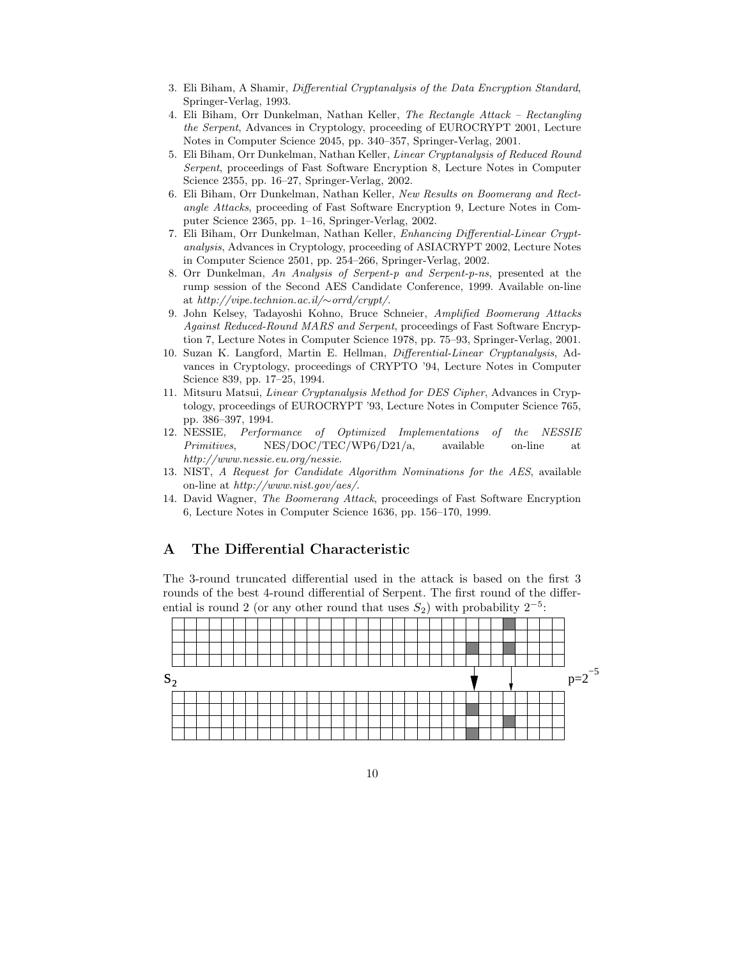- 3. Eli Biham, A Shamir, Differential Cryptanalysis of the Data Encryption Standard, Springer-Verlag, 1993.
- 4. Eli Biham, Orr Dunkelman, Nathan Keller, The Rectangle Attack Rectangling the Serpent, Advances in Cryptology, proceeding of EUROCRYPT 2001, Lecture Notes in Computer Science 2045, pp. 340–357, Springer-Verlag, 2001.
- 5. Eli Biham, Orr Dunkelman, Nathan Keller, Linear Cryptanalysis of Reduced Round Serpent, proceedings of Fast Software Encryption 8, Lecture Notes in Computer Science 2355, pp. 16–27, Springer-Verlag, 2002.
- 6. Eli Biham, Orr Dunkelman, Nathan Keller, New Results on Boomerang and Rectangle Attacks, proceeding of Fast Software Encryption 9, Lecture Notes in Computer Science 2365, pp. 1–16, Springer-Verlag, 2002.
- 7. Eli Biham, Orr Dunkelman, Nathan Keller, Enhancing Differential-Linear Cryptanalysis, Advances in Cryptology, proceeding of ASIACRYPT 2002, Lecture Notes in Computer Science 2501, pp. 254–266, Springer-Verlag, 2002.
- 8. Orr Dunkelman, An Analysis of Serpent-p and Serpent-p-ns, presented at the rump session of the Second AES Candidate Conference, 1999. Available on-line at http://vipe.technion.ac.il/∼orrd/crypt/.
- 9. John Kelsey, Tadayoshi Kohno, Bruce Schneier, Amplified Boomerang Attacks Against Reduced-Round MARS and Serpent, proceedings of Fast Software Encryption 7, Lecture Notes in Computer Science 1978, pp. 75–93, Springer-Verlag, 2001.
- 10. Suzan K. Langford, Martin E. Hellman, Differential-Linear Cryptanalysis, Advances in Cryptology, proceedings of CRYPTO '94, Lecture Notes in Computer Science 839, pp. 17–25, 1994.
- 11. Mitsuru Matsui, Linear Cryptanalysis Method for DES Cipher, Advances in Cryptology, proceedings of EUROCRYPT '93, Lecture Notes in Computer Science 765, pp. 386–397, 1994.
- 12. NESSIE, Performance of Optimized Implementations of the NESSIE Primitives, NES/DOC/TEC/WP6/D21/a, available on-line at http://www.nessie.eu.org/nessie.
- 13. NIST, A Request for Candidate Algorithm Nominations for the AES, available on-line at http://www.nist.gov/aes/.
- 14. David Wagner, The Boomerang Attack, proceedings of Fast Software Encryption 6, Lecture Notes in Computer Science 1636, pp. 156–170, 1999.

# A The Differential Characteristic

The 3-round truncated differential used in the attack is based on the first 3 rounds of the best 4-round differential of Serpent. The first round of the differential is round 2 (or any other round that uses  $S_2$ ) with probability  $2^{-5}$ .

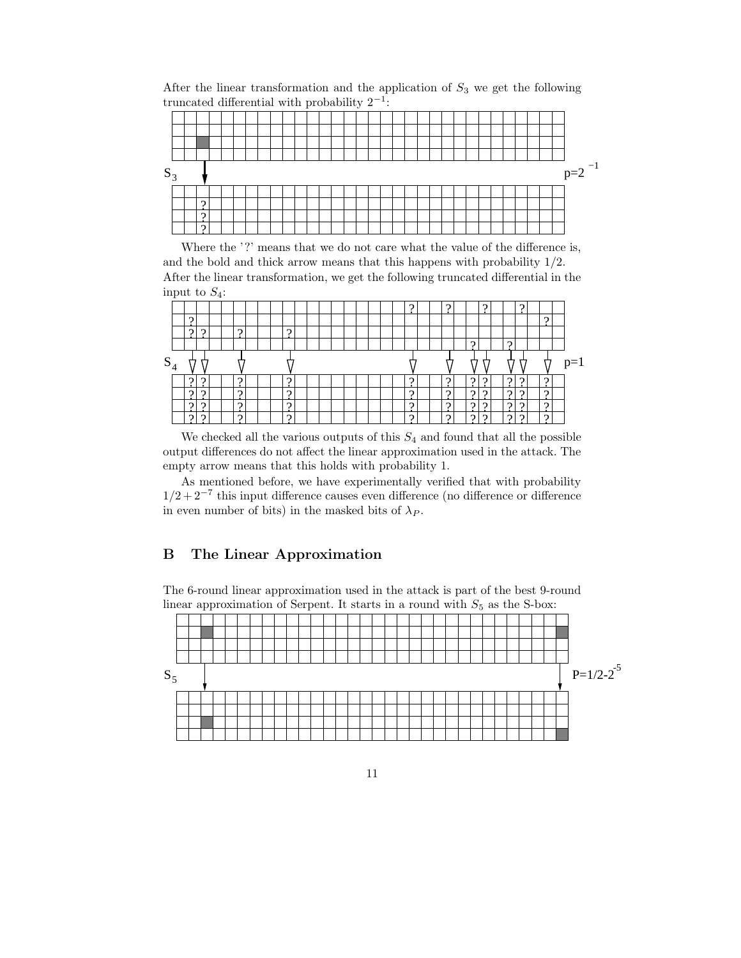After the linear transformation and the application of  $S_3$  we get the following truncated differential with probability  $2^{-1}$ :

| $S_3$ |  |            |  |  |  |  |  |  |  |  |  |  |  |  |  |  | $p=2^{-1}$ |
|-------|--|------------|--|--|--|--|--|--|--|--|--|--|--|--|--|--|------------|
|       |  |            |  |  |  |  |  |  |  |  |  |  |  |  |  |  |            |
|       |  | $\epsilon$ |  |  |  |  |  |  |  |  |  |  |  |  |  |  |            |
|       |  |            |  |  |  |  |  |  |  |  |  |  |  |  |  |  |            |
|       |  |            |  |  |  |  |  |  |  |  |  |  |  |  |  |  |            |

Where the '?' means that we do not care what the value of the difference is, and the bold and thick arrow means that this happens with probability 1/2. After the linear transformation, we get the following truncated differential in the input to  $S_4$ :

|       |          |  |          |  |          |  |  |  |  |          |  | c        |          |   |          |  |          |      |
|-------|----------|--|----------|--|----------|--|--|--|--|----------|--|----------|----------|---|----------|--|----------|------|
|       | c        |  |          |  |          |  |  |  |  |          |  |          |          |   |          |  | $\Omega$ |      |
|       | $\Omega$ |  | $\Omega$ |  | $\Omega$ |  |  |  |  |          |  |          |          |   |          |  |          |      |
|       |          |  |          |  |          |  |  |  |  |          |  |          | $\Omega$ |   | $\Omega$ |  |          |      |
| $S_4$ |          |  |          |  |          |  |  |  |  |          |  |          |          |   |          |  |          | $=1$ |
|       | c        |  | C        |  | റ        |  |  |  |  | റ        |  | $\Omega$ |          |   | C        |  | $\Omega$ |      |
|       | $\Omega$ |  | $\Omega$ |  | $\Omega$ |  |  |  |  | $\Omega$ |  | $\Omega$ | $\Omega$ | G | $\Omega$ |  | $\Omega$ |      |
|       |          |  | $\Omega$ |  | റ        |  |  |  |  | $\Omega$ |  | റ        | $\Omega$ |   | $\Omega$ |  | $\Omega$ |      |
|       | $\Omega$ |  | $\Omega$ |  | $\Omega$ |  |  |  |  | $\Omega$ |  | റ        | $\Omega$ | റ | $\Omega$ |  | $\Omega$ |      |

We checked all the various outputs of this  $S_4$  and found that all the possible output differences do not affect the linear approximation used in the attack. The empty arrow means that this holds with probability 1.

As mentioned before, we have experimentally verified that with probability  $1/2 + 2^{-7}$  this input difference causes even difference (no difference or difference in even number of bits) in the masked bits of  $\lambda_P$ .

# B The Linear Approximation

The 6-round linear approximation used in the attack is part of the best 9-round linear approximation of Serpent. It starts in a round with  $S_5$  as the S-box:

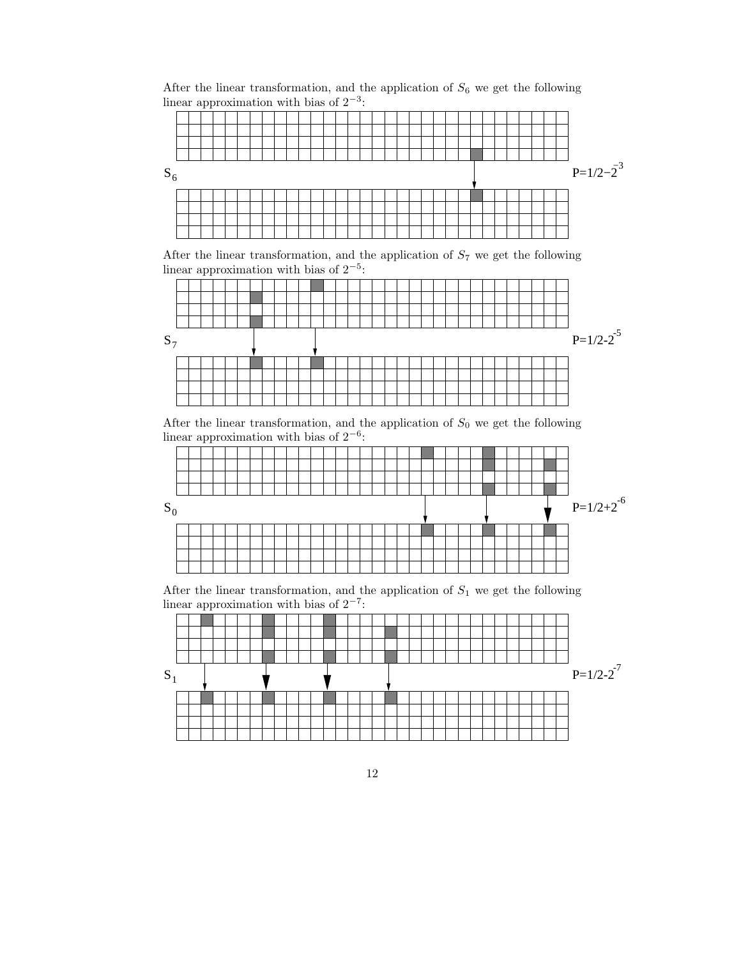After the linear transformation, and the application of  $S_6$  we get the following linear approximation with bias of  $2^{-3}$ :  $S_6$  P=1/2−2  $P=1/2-2^3$ 

After the linear transformation, and the application of  $S_7$  we get the following linear approximation with bias of  $2^{-5}$ :



After the linear transformation, and the application of  $S_0$  we get the following linear approximation with bias of  $2^{-6}$ :



After the linear transformation, and the application of  $S_1$  we get the following linear approximation with bias of  $2^{-7}$ :